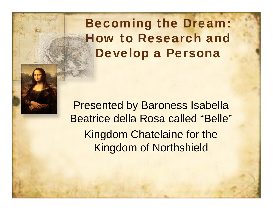Becoming the Dream: How to Research and Develop a Persona

Presented by Baroness Isabella Beatrice della Rosa called "Belle" Kingdom Chatelaine for the Kingdom of Northshield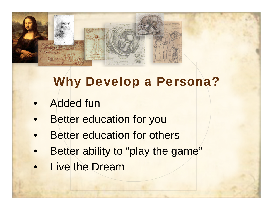

# Why Develop a Persona?

- $\bullet$ Added fun
- $\bullet$ Better education for you
- $\bullet$ Better education for others
- $\bullet$ Better ability to "play the game"
- $\bullet$ Live the Dream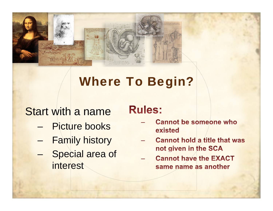

# Where To Begin?

### Start with a name

- Picture books
- –Family history
- – Special area of interest

### **Rules:**

- **Cannot be someone who** existed
- **Cannot hold a title that was** not given in the SCA
- **Cannot have the EXACT** same name as another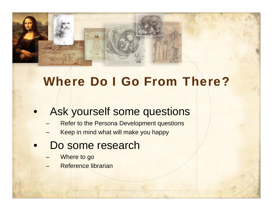

### Where Do I Go From There?

#### $\bullet$ Ask yourself some questions

- –Refer to the Persona Development questions
- Keep in mind what will make you happy
- $\bullet$  Do some research
	- Where to go
	- –Reference librarian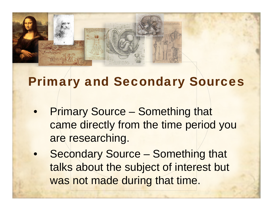

## Primary and Secondary Sources

- $\bullet$  Primary Source – Something that came directly from the time period you are researching.
- $\bullet$  Secondary Source – Something that talks about the subject of interest but was not made during that time.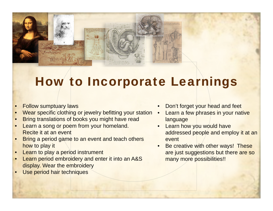

## How to Incorporate Learnings

- •Follow sumptuary laws
- •Wear specific clothing or jewelry befitting your station
- •Bring translations of books you might have read
- • Learn a song or poem from your homeland. Recite it at an event
- • Bring a period game to an event and teach others how to play it
- •Learn to play a period instrument
- •Learn period embroidery and enter it into an A&S display. Wear the embroidery
- •Use period hair techniques
- •Don't forget your head and feet
- • Learn a few phrases in your native language
- •**Learn how you would have** addressed people and employ it at an event
- • Be creative with other ways! These are just suggestions but there are so many more possibilities!!